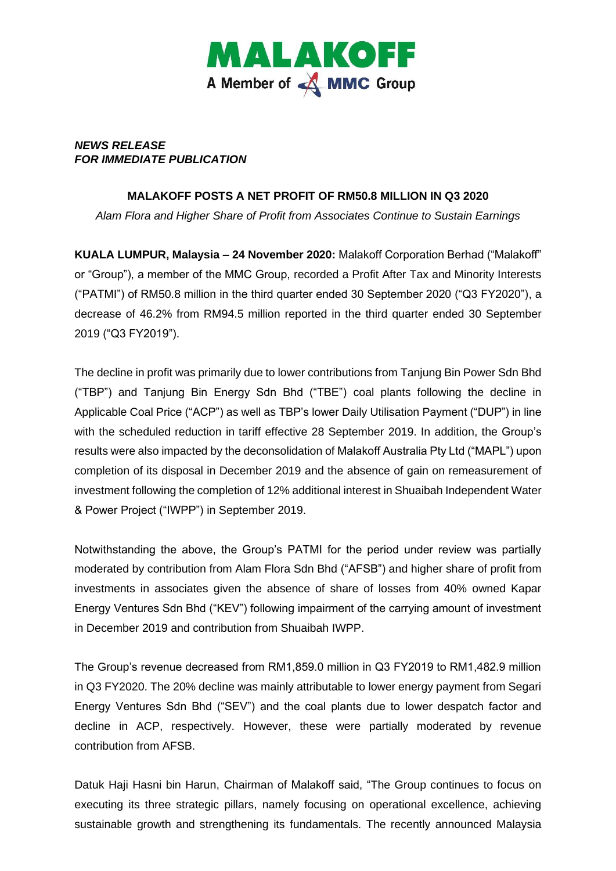

## *NEWS RELEASE FOR IMMEDIATE PUBLICATION*

## **MALAKOFF POSTS A NET PROFIT OF RM50.8 MILLION IN Q3 2020**

*Alam Flora and Higher Share of Profit from Associates Continue to Sustain Earnings*

**KUALA LUMPUR, Malaysia – 24 November 2020:** Malakoff Corporation Berhad ("Malakoff" or "Group"), a member of the MMC Group, recorded a Profit After Tax and Minority Interests ("PATMI") of RM50.8 million in the third quarter ended 30 September 2020 ("Q3 FY2020"), a decrease of 46.2% from RM94.5 million reported in the third quarter ended 30 September 2019 ("Q3 FY2019").

The decline in profit was primarily due to lower contributions from Tanjung Bin Power Sdn Bhd ("TBP") and Tanjung Bin Energy Sdn Bhd ("TBE") coal plants following the decline in Applicable Coal Price ("ACP") as well as TBP's lower Daily Utilisation Payment ("DUP") in line with the scheduled reduction in tariff effective 28 September 2019. In addition, the Group's results were also impacted by the deconsolidation of Malakoff Australia Pty Ltd ("MAPL") upon completion of its disposal in December 2019 and the absence of gain on remeasurement of investment following the completion of 12% additional interest in Shuaibah Independent Water & Power Project ("IWPP") in September 2019.

Notwithstanding the above, the Group's PATMI for the period under review was partially moderated by contribution from Alam Flora Sdn Bhd ("AFSB") and higher share of profit from investments in associates given the absence of share of losses from 40% owned Kapar Energy Ventures Sdn Bhd ("KEV") following impairment of the carrying amount of investment in December 2019 and contribution from Shuaibah IWPP.

The Group's revenue decreased from RM1,859.0 million in Q3 FY2019 to RM1,482.9 million in Q3 FY2020. The 20% decline was mainly attributable to lower energy payment from Segari Energy Ventures Sdn Bhd ("SEV") and the coal plants due to lower despatch factor and decline in ACP, respectively. However, these were partially moderated by revenue contribution from AFSB.

Datuk Haji Hasni bin Harun, Chairman of Malakoff said, "The Group continues to focus on executing its three strategic pillars, namely focusing on operational excellence, achieving sustainable growth and strengthening its fundamentals. The recently announced Malaysia